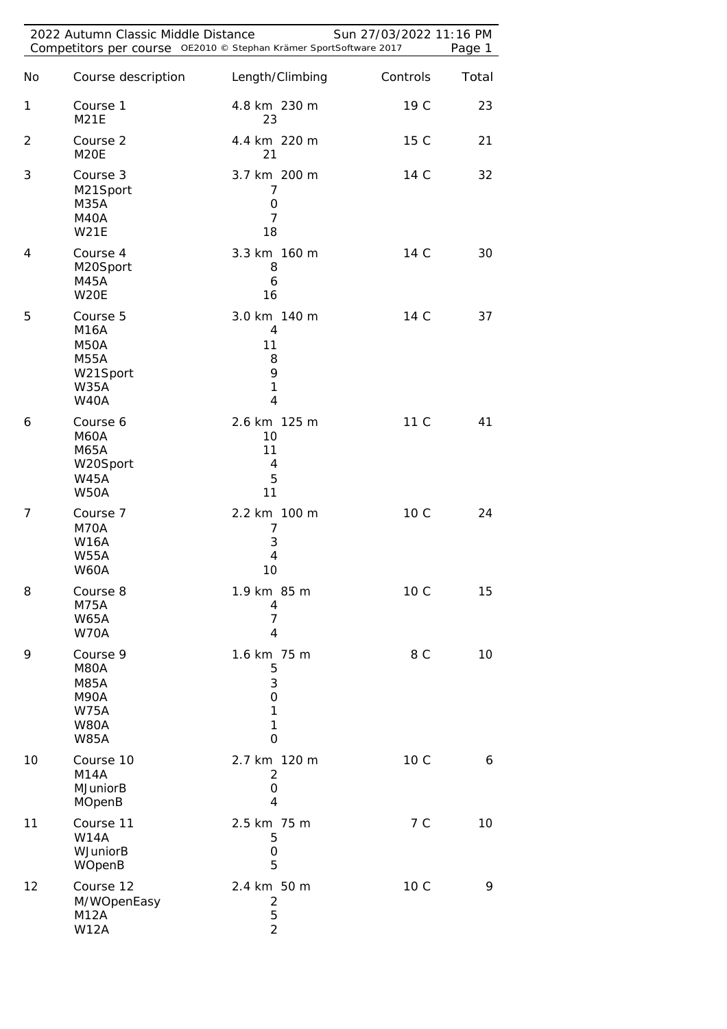| 2022 Autumn Classic Middle Distance<br>Sun 27/03/2022 11:16 PM<br>Competitors per course OE2010 © Stephan Krämer SportSoftware 2017 |                                                                                                    |                                                                |          |       |
|-------------------------------------------------------------------------------------------------------------------------------------|----------------------------------------------------------------------------------------------------|----------------------------------------------------------------|----------|-------|
| No                                                                                                                                  | Course description                                                                                 | Length/Climbing                                                | Controls | Total |
| 1                                                                                                                                   | Course 1<br><b>M21E</b>                                                                            | 4.8 km 230 m<br>23                                             | 19 C     | 23    |
| $\overline{2}$                                                                                                                      | Course 2<br>M <sub>20</sub> E                                                                      | 4.4 km 220 m<br>21                                             | 15 C     | 21    |
| 3                                                                                                                                   | Course 3<br>M21Sport<br>M35A<br>M40A<br><b>W21E</b>                                                | 3.7 km 200 m<br>7<br>O<br>7<br>18                              | 14 C     | 32    |
| 4                                                                                                                                   | Course 4<br>M20Sport<br><b>M45A</b><br>W20E                                                        | 3.3 km 160 m<br>8<br>6<br>16                                   | 14 C     | 30    |
| 5                                                                                                                                   | Course 5<br><b>M16A</b><br><b>M50A</b><br><b>M55A</b><br>W21Sport<br><b>W35A</b><br><b>W40A</b>    | 3.0 km 140 m<br>4<br>11<br>8<br>9<br>$\mathbf{1}$<br>4         | 14 C     | 37    |
| 6                                                                                                                                   | Course 6<br><b>M60A</b><br>M65A<br>W20Sport<br><b>W45A</b><br><b>W50A</b>                          | 2.6 km 125 m<br>10<br>11<br>4<br>5<br>11                       | 11 C     | 41    |
| 7                                                                                                                                   | Course 7<br>M70A<br><b>W16A</b><br>W55A<br>W60A                                                    | 2.2 km 100 m<br>7<br>3<br>4<br>10                              | 10 C     | 24    |
| 8                                                                                                                                   | Course 8<br><b>M75A</b><br><b>W65A</b><br>W70A                                                     | 1.9 km 85 m<br>4<br>$\overline{7}$<br>$\overline{\mathcal{A}}$ | 10 C     | 15    |
| 9                                                                                                                                   | Course 9<br><b>M80A</b><br><b>M85A</b><br><b>M90A</b><br><b>W75A</b><br><b>W80A</b><br><b>W85A</b> | 1.6 km 75 m<br>5<br>3<br>$\mathbf 0$<br>1<br>$\mathbf{1}$<br>0 | 8 C      | 10    |
| 10                                                                                                                                  | Course 10<br><b>M14A</b><br><b>MJuniorB</b><br>MOpenB                                              | 2.7 km 120 m<br>2<br>$\mathbf 0$<br>4                          | 10 C     | 6     |
| 11                                                                                                                                  | Course 11<br><b>W14A</b><br>WJuniorB<br>WOpenB                                                     | 2.5 km 75 m<br>5<br>0<br>5                                     | 7 C      | 10    |
| 12                                                                                                                                  | Course 12<br>M/WOpenEasy<br>M12A<br><b>W12A</b>                                                    | 2.4 km 50 m<br>2<br>5<br>$\overline{2}$                        | 10 C     | 9     |